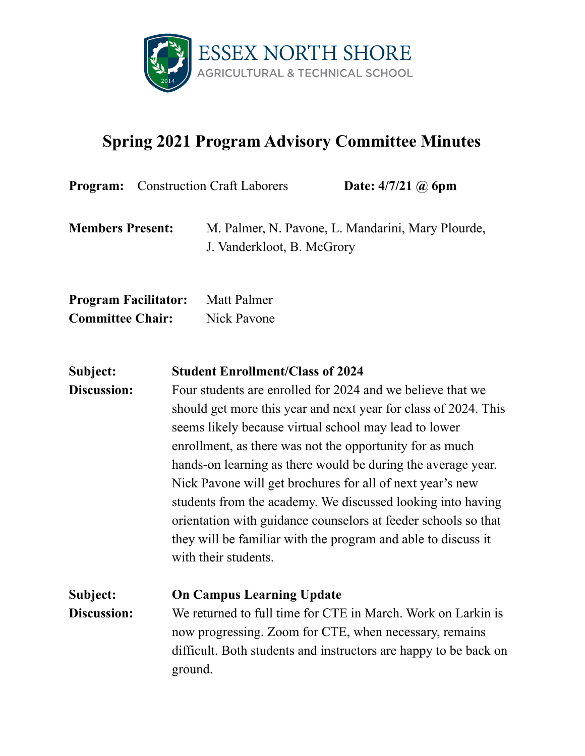

## **Spring 2021 Program Advisory Committee Minutes**

|                                                        | <b>Program:</b> Construction Craft Laborers | Date: $4/7/21$ @ 6pm                              |
|--------------------------------------------------------|---------------------------------------------|---------------------------------------------------|
| <b>Members Present:</b>                                | J. Vanderkloot, B. McGrory                  | M. Palmer, N. Pavone, L. Mandarini, Mary Plourde, |
| <b>Program Facilitator:</b><br><b>Committee Chair:</b> | <b>Matt Palmer</b><br>Nick Payone           |                                                   |

## **Subject: Student Enrollment/Class of 2024 Discussion:** Four students are enrolled for 2024 and we believe that we should get more this year and next year for class of 2024. This seems likely because virtual school may lead to lower enrollment, as there was not the opportunity for as much hands-on learning as there would be during the average year. Nick Pavone will get brochures for all of next year's new students from the academy. We discussed looking into having orientation with guidance counselors at feeder schools so that they will be familiar with the program and able to discuss it with their students.

**Subject: On Campus Learning Update Discussion:** We returned to full time for CTE in March. Work on Larkin is now progressing. Zoom for CTE, when necessary, remains difficult. Both students and instructors are happy to be back on ground.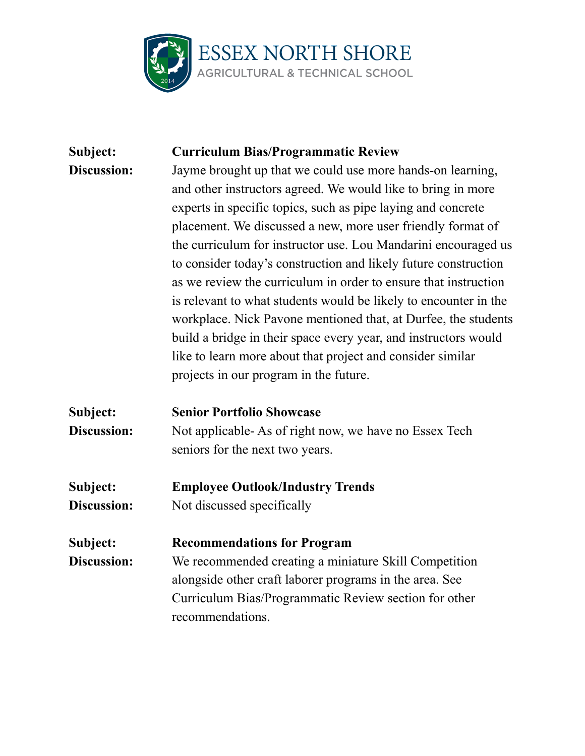

## **Subject: Curriculum Bias/Programmatic Review Discussion:** Jayme brought up that we could use more hands-on learning, and other instructors agreed. We would like to bring in more experts in specific topics, such as pipe laying and concrete placement. We discussed a new, more user friendly format of the curriculum for instructor use. Lou Mandarini encouraged us to consider today's construction and likely future construction as we review the curriculum in order to ensure that instruction is relevant to what students would be likely to encounter in the workplace. Nick Pavone mentioned that, at Durfee, the students build a bridge in their space every year, and instructors would like to learn more about that project and consider similar projects in our program in the future. **Subject: Senior Portfolio Showcase Discussion:** Not applicable- As of right now, we have no Essex Tech seniors for the next two years. **Subject: Employee Outlook/Industry Trends Discussion:** Not discussed specifically **Subject: Recommendations for Program Discussion:** We recommended creating a miniature Skill Competition alongside other craft laborer programs in the area. See Curriculum Bias/Programmatic Review section for other recommendations.